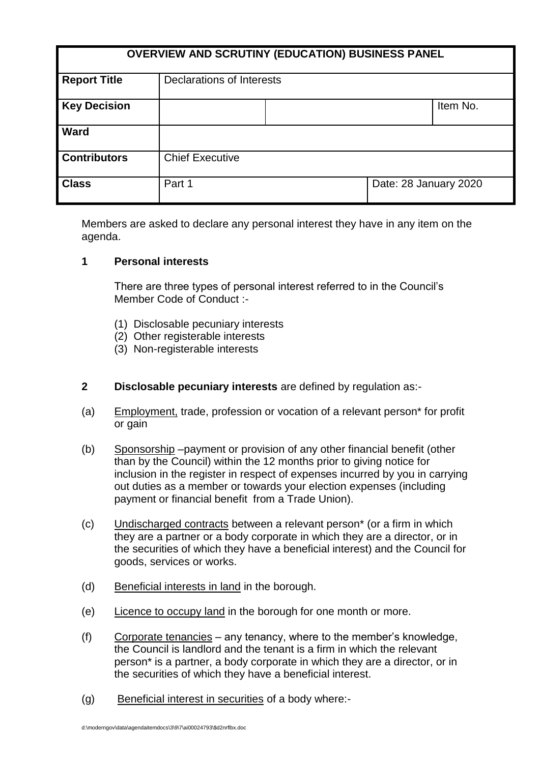| <b>OVERVIEW AND SCRUTINY (EDUCATION) BUSINESS PANEL</b> |                           |  |                       |          |
|---------------------------------------------------------|---------------------------|--|-----------------------|----------|
| <b>Report Title</b>                                     | Declarations of Interests |  |                       |          |
| <b>Key Decision</b>                                     |                           |  |                       | Item No. |
| <b>Ward</b>                                             |                           |  |                       |          |
| <b>Contributors</b>                                     | <b>Chief Executive</b>    |  |                       |          |
| <b>Class</b>                                            | Part 1                    |  | Date: 28 January 2020 |          |

Members are asked to declare any personal interest they have in any item on the agenda.

#### **1 Personal interests**

There are three types of personal interest referred to in the Council's Member Code of Conduct :-

- (1) Disclosable pecuniary interests
- (2) Other registerable interests
- (3) Non-registerable interests
- **2 Disclosable pecuniary interests** are defined by regulation as:-
- (a) Employment, trade, profession or vocation of a relevant person\* for profit or gain
- (b) Sponsorship –payment or provision of any other financial benefit (other than by the Council) within the 12 months prior to giving notice for inclusion in the register in respect of expenses incurred by you in carrying out duties as a member or towards your election expenses (including payment or financial benefit from a Trade Union).
- (c) Undischarged contracts between a relevant person\* (or a firm in which they are a partner or a body corporate in which they are a director, or in the securities of which they have a beneficial interest) and the Council for goods, services or works.
- (d) Beneficial interests in land in the borough.
- (e) Licence to occupy land in the borough for one month or more.
- $(f)$  Corporate tenancies any tenancy, where to the member's knowledge, the Council is landlord and the tenant is a firm in which the relevant person\* is a partner, a body corporate in which they are a director, or in the securities of which they have a beneficial interest.
- (g) Beneficial interest in securities of a body where:-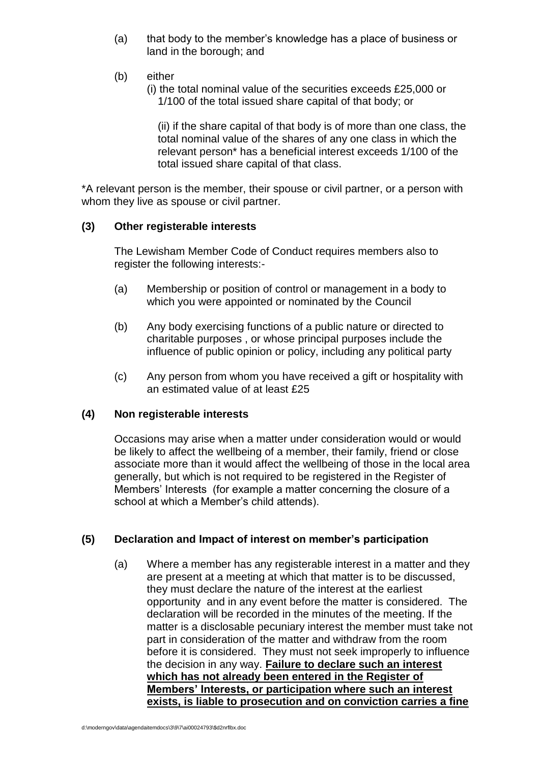- (a) that body to the member's knowledge has a place of business or land in the borough; and
- (b) either
	- (i) the total nominal value of the securities exceeds £25,000 or 1/100 of the total issued share capital of that body; or

(ii) if the share capital of that body is of more than one class, the total nominal value of the shares of any one class in which the relevant person\* has a beneficial interest exceeds 1/100 of the total issued share capital of that class.

\*A relevant person is the member, their spouse or civil partner, or a person with whom they live as spouse or civil partner.

### **(3) Other registerable interests**

The Lewisham Member Code of Conduct requires members also to register the following interests:-

- (a) Membership or position of control or management in a body to which you were appointed or nominated by the Council
- (b) Any body exercising functions of a public nature or directed to charitable purposes , or whose principal purposes include the influence of public opinion or policy, including any political party
- (c) Any person from whom you have received a gift or hospitality with an estimated value of at least £25

#### **(4) Non registerable interests**

Occasions may arise when a matter under consideration would or would be likely to affect the wellbeing of a member, their family, friend or close associate more than it would affect the wellbeing of those in the local area generally, but which is not required to be registered in the Register of Members' Interests (for example a matter concerning the closure of a school at which a Member's child attends).

# **(5) Declaration and Impact of interest on member's participation**

(a) Where a member has any registerable interest in a matter and they are present at a meeting at which that matter is to be discussed, they must declare the nature of the interest at the earliest opportunity and in any event before the matter is considered. The declaration will be recorded in the minutes of the meeting. If the matter is a disclosable pecuniary interest the member must take not part in consideration of the matter and withdraw from the room before it is considered. They must not seek improperly to influence the decision in any way. **Failure to declare such an interest which has not already been entered in the Register of Members' Interests, or participation where such an interest exists, is liable to prosecution and on conviction carries a fine**